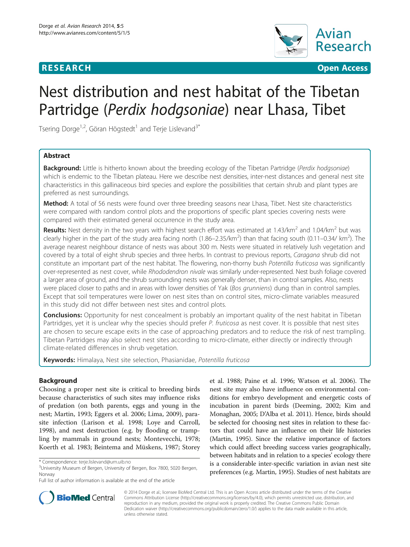# **RESEARCH CHINESE ARCH CHINESE ARCHITECT ARCHITECT ARCHITECT ARCHITECT ARCHITECT ARCHITECT ARCHITECT ARCHITECT ARCHITECT ARCHITECT ARCHITECT ARCHITECT ARCHITECT ARCHITECT ARCHITECT ARCHITECT ARCHITECT ARCHITECT ARCHITE**



# Nest distribution and nest habitat of the Tibetan Partridge (Perdix hodgsoniae) near Lhasa, Tibet

Tsering Dorge<sup>1,2</sup>, Göran Högstedt<sup>1</sup> and Terje Lislevand<sup>3\*</sup>

# Abstract

Background: Little is hitherto known about the breeding ecology of the Tibetan Partridge (Perdix hodgsoniae) which is endemic to the Tibetan plateau. Here we describe nest densities, inter-nest distances and general nest site characteristics in this gallinaceous bird species and explore the possibilities that certain shrub and plant types are preferred as nest surroundings.

Method: A total of 56 nests were found over three breeding seasons near Lhasa, Tibet. Nest site characteristics were compared with random control plots and the proportions of specific plant species covering nests were compared with their estimated general occurrence in the study area.

**Results:** Nest density in the two years with highest search effort was estimated at  $1.43/km^2$  and  $1.04/km^2$  but was clearly higher in the part of the study area facing north (1.86–2.35/km<sup>2</sup>) than that facing south (0.11–0.34/km<sup>2</sup>). The average nearest neighbour distance of nests was about 300 m. Nests were situated in relatively lush vegetation and covered by a total of eight shrub species and three herbs. In contrast to previous reports, Caragana shrub did not constitute an important part of the nest habitat. The flowering, non-thorny bush Potentilla fruticosa was significantly over-represented as nest cover, while Rhododendron nivale was similarly under-represented. Nest bush foliage covered a larger area of ground, and the shrub surrounding nests was generally denser, than in control samples. Also, nests were placed closer to paths and in areas with lower densities of Yak (Bos grunniens) dung than in control samples. Except that soil temperatures were lower on nest sites than on control sites, micro-climate variables measured in this study did not differ between nest sites and control plots.

**Conclusions:** Opportunity for nest concealment is probably an important quality of the nest habitat in Tibetan Partridges, yet it is unclear why the species should prefer P. fruticosa as nest cover. It is possible that nest sites are chosen to secure escape exits in the case of approaching predators and to reduce the risk of nest trampling. Tibetan Partridges may also select nest sites according to micro-climate, either directly or indirectly through climate-related differences in shrub vegetation.

Keywords: Himalaya, Nest site selection, Phasianidae, Potentilla fruticosa

# Background

Choosing a proper nest site is critical to breeding birds because characteristics of such sites may influence risks of predation (on both parents, eggs and young in the nest; Martin, [1993;](#page-8-0) Eggers et al. [2006;](#page-8-0) Lima, [2009\)](#page-8-0), parasite infection (Larison et al. [1998;](#page-8-0) Loye and Carroll, [1998](#page-8-0)), and nest destruction (e.g. by flooding or trampling by mammals in ground nests; Montevecchi, [1978](#page-8-0); Koerth et al. [1983](#page-8-0); Beintema and Müskens, [1987](#page-8-0); Storey

et al. [1988](#page-8-0); Paine et al. [1996](#page-8-0); Watson et al. [2006\)](#page-8-0). The nest site may also have influence on environmental conditions for embryo development and energetic costs of incubation in parent birds (Deeming, [2002;](#page-8-0) Kim and Monaghan, [2005](#page-8-0); D'Alba et al. [2011](#page-8-0)). Hence, birds should be selected for choosing nest sites in relation to these factors that could have an influence on their life histories (Martin, [1995\)](#page-8-0). Since the relative importance of factors which could affect breeding success varies geographically, between habitats and in relation to a species' ecology there is a considerable inter-specific variation in avian nest site preferences (e.g. Martin, [1995\)](#page-8-0). Studies of nest habitats are



© 2014 Dorge et al.; licensee BioMed Central Ltd. This is an Open Access article distributed under the terms of the Creative Commons Attribution License [\(http://creativecommons.org/licenses/by/4.0\)](http://creativecommons.org/licenses/by/4.0), which permits unrestricted use, distribution, and reproduction in any medium, provided the original work is properly credited. The Creative Commons Public Domain Dedication waiver [\(http://creativecommons.org/publicdomain/zero/1.0/](http://creativecommons.org/publicdomain/zero/1.0/)) applies to the data made available in this article, unless otherwise stated.

<sup>\*</sup> Correspondence: [terje.lislevand@um.uib.no](mailto:terje.lislevand@um.uib.no) <sup>3</sup>

<sup>&</sup>lt;sup>3</sup>University Museum of Bergen, University of Bergen, Box 7800, 5020 Bergen, Norway

Full list of author information is available at the end of the article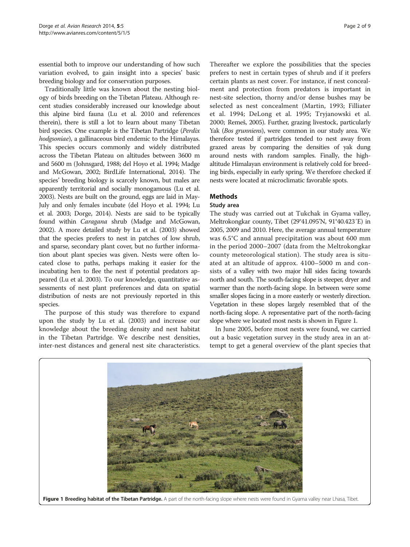essential both to improve our understanding of how such variation evolved, to gain insight into a species' basic breeding biology and for conservation purposes.

Traditionally little was known about the nesting biology of birds breeding on the Tibetan Plateau. Although recent studies considerably increased our knowledge about this alpine bird fauna (Lu et al. [2010](#page-8-0) and references therein), there is still a lot to learn about many Tibetan bird species. One example is the Tibetan Partridge (Perdix hodgsoniae), a gallinaceous bird endemic to the Himalayas. This species occurs commonly and widely distributed across the Tibetan Plateau on altitudes between 3600 m and 5600 m (Johnsgard, [1988;](#page-8-0) del Hoyo et al. [1994](#page-8-0); Madge and McGowan, [2002;](#page-8-0) BirdLife International, [2014\)](#page-8-0). The species' breeding biology is scarcely known, but males are apparently territorial and socially monogamous (Lu et al. [2003\)](#page-8-0). Nests are built on the ground, eggs are laid in May-July and only females incubate (del Hoyo et al. [1994;](#page-8-0) Lu et al. [2003](#page-8-0); Dorge, [2014\)](#page-8-0). Nests are said to be typically found within Caragana shrub (Madge and McGowan, [2002\)](#page-8-0). A more detailed study by Lu et al. ([2003\)](#page-8-0) showed that the species prefers to nest in patches of low shrub, and sparse, secondary plant cover, but no further information about plant species was given. Nests were often located close to paths, perhaps making it easier for the incubating hen to flee the nest if potential predators appeared (Lu et al. [2003](#page-8-0)). To our knowledge, quantitative assessments of nest plant preferences and data on spatial distribution of nests are not previously reported in this species.

The purpose of this study was therefore to expand upon the study by Lu et al. ([2003](#page-8-0)) and increase our knowledge about the breeding density and nest habitat in the Tibetan Partridge. We describe nest densities, inter-nest distances and general nest site characteristics.

Thereafter we explore the possibilities that the species prefers to nest in certain types of shrub and if it prefers certain plants as nest cover. For instance, if nest concealment and protection from predators is important in nest-site selection, thorny and/or dense bushes may be selected as nest concealment (Martin, [1993;](#page-8-0) Filliater et al. [1994;](#page-8-0) DeLong et al. [1995](#page-8-0); Tryjanowski et al. [2000;](#page-8-0) Remeš, [2005\)](#page-8-0). Further, grazing livestock, particularly Yak (Bos grunniens), were common in our study area. We therefore tested if partridges tended to nest away from grazed areas by comparing the densities of yak dung around nests with random samples. Finally, the highaltitude Himalayan environment is relatively cold for breeding birds, especially in early spring. We therefore checked if nests were located at microclimatic favorable spots.

# **Methods**

## Study area

The study was carried out at Tukchak in Gyama valley, Meltrokongkar county, Tibet (29°41.095'N, 91°40.423´E) in 2005, 2009 and 2010. Here, the average annual temperature was 6.5°C and annual precipitation was about 600 mm in the period 2000–2007 (data from the Meltrokongkar county meteorological station). The study area is situated at an altitude of approx. 4100–5000 m and consists of a valley with two major hill sides facing towards north and south. The south-facing slope is steeper, dryer and warmer than the north-facing slope. In between were some smaller slopes facing in a more easterly or westerly direction. Vegetation in these slopes largely resembled that of the north-facing slope. A representative part of the north-facing slope where we located most nests is shown in Figure 1.

In June 2005, before most nests were found, we carried out a basic vegetation survey in the study area in an attempt to get a general overview of the plant species that

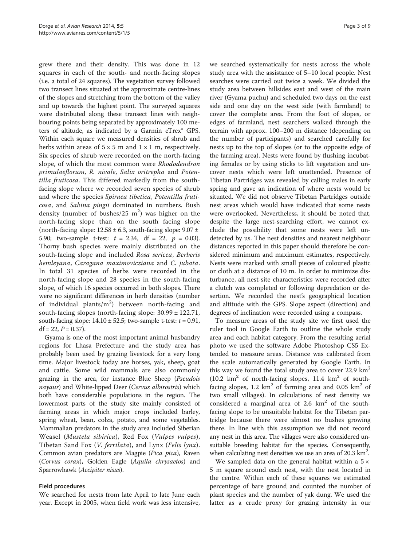grew there and their density. This was done in 12 squares in each of the south- and north-facing slopes (i.e. a total of 24 squares). The vegetation survey followed two transect lines situated at the approximate centre-lines of the slopes and stretching from the bottom of the valley and up towards the highest point. The surveyed squares were distributed along these transect lines with neighbouring points being separated by approximately 100 meters of altitude, as indicated by a Garmin eTrex® GPS. Within each square we measured densities of shrub and herbs within areas of  $5 \times 5$  m and  $1 \times 1$  m, respectively. Six species of shrub were recorded on the north-facing slope, of which the most common were Rhododendron primulaeflorum, R. nivale, Salix oritrepha and Potentilla fruticosa. This differed markedly from the southfacing slope where we recorded seven species of shrub and where the species Spiraea tibetica, Potentilla fruticosa, and Sabina pingii dominated in numbers. Bush density (number of bushes/25  $m<sup>2</sup>$ ) was higher on the north-facing slope than on the south facing slope (north-facing slope:  $12.58 \pm 6.3$ , south-facing slope:  $9.07 \pm$ 5.90; two-sample t-test:  $t = 2.34$ , df = 22,  $p = 0.03$ ). Thorny bush species were mainly distributed on the south-facing slope and included Rosa sericea, Berberis hemleyana, Caragana maximovicziana and C. jubata. In total 31 species of herbs were recorded in the north-facing slope and 28 species in the south-facing slope, of which 16 species occurred in both slopes. There were no significant differences in herb densities (number of individual plants/ $m^2$ ) between north-facing and south-facing slopes (north-facing slope: 30.99 ± 122.71, south-facing slope:  $14.10 \pm 52.5$ ; two-sample t-test:  $t = 0.91$ ,  $df = 22$ ,  $P = 0.37$ ).

Gyama is one of the most important animal husbandry regions for Lhasa Prefecture and the study area has probably been used by grazing livestock for a very long time. Major livestock today are horses, yak, sheep, goat and cattle. Some wild mammals are also commonly grazing in the area, for instance Blue Sheep (Pseudois nayaur) and White-lipped Deer (Cervus albirostris) which both have considerable populations in the region. The lowermost parts of the study site mainly consisted of farming areas in which major crops included barley, spring wheat, bean, colza, potato, and some vegetables. Mammalian predators in the study area included Siberian Weasel (Mustela sibirica), Red Fox (Vulpes vulpes), Tibetan Sand Fox (V. ferrilata), and Lynx (Felis lynx). Common avian predators are Magpie (Pica pica), Raven (Corvus corax), Golden Eagle (Aquila chrysaetos) and Sparrowhawk (Accipiter nisus).

# Field procedures

We searched for nests from late April to late June each year. Except in 2005, when field work was less intensive,

we searched systematically for nests across the whole study area with the assistance of 5–10 local people. Nest searches were carried out twice a week. We divided the study area between hillsides east and west of the main river (Gyama puchu) and scheduled two days on the east side and one day on the west side (with farmland) to cover the complete area. From the foot of slopes, or edges of farmland, nest searchers walked through the terrain with approx. 100–200 m distance (depending on the number of participants) and searched carefully for nests up to the top of slopes (or to the opposite edge of the farming area). Nests were found by flushing incubating females or by using sticks to lift vegetation and uncover nests which were left unattended. Presence of Tibetan Partridges was revealed by calling males in early spring and gave an indication of where nests would be situated. We did not observe Tibetan Partridges outside nest areas which would have indicated that some nests were overlooked. Nevertheless, it should be noted that, despite the large nest-searching effort, we cannot exclude the possibility that some nests were left undetected by us. The nest densities and nearest neighbour distances reported in this paper should therefore be considered minimum and maximum estimates, respectively. Nests were marked with small pieces of coloured plastic or cloth at a distance of 10 m. In order to minimize disturbance, all nest-site characteristics were recorded after a clutch was completed or following depredation or desertion. We recorded the nest's geographical location and altitude with the GPS. Slope aspect (direction) and degrees of inclination were recorded using a compass.

To measure areas of the study site we first used the ruler tool in Google Earth to outline the whole study area and each habitat category. From the resulting aerial photo we used the software Adobe Photoshop CS5 Extended to measure areas. Distance was calibrated from the scale automatically generated by Google Earth. In this way we found the total study area to cover 22.9  $\text{km}^2$ (10.2  $km^2$  of north-facing slopes, 11.4  $km^2$  of southfacing slopes,  $1.2 \text{ km}^2$  of farming area and  $0.05 \text{ km}^2$  of two small villages). In calculations of nest density we considered a marginal area of  $2.6 \text{ km}^2$  of the southfacing slope to be unsuitable habitat for the Tibetan partridge because there were almost no bushes growing there. In line with this assumption we did not record any nest in this area. The villages were also considered unsuitable breeding habitat for the species. Consequently, when calculating nest densities we use an area of 20.3  $\text{km}^2$ .

We sampled data on the general habitat within a  $5 \times$ 5 m square around each nest, with the nest located in the centre. Within each of these squares we estimated percentage of bare ground and counted the number of plant species and the number of yak dung. We used the latter as a crude proxy for grazing intensity in our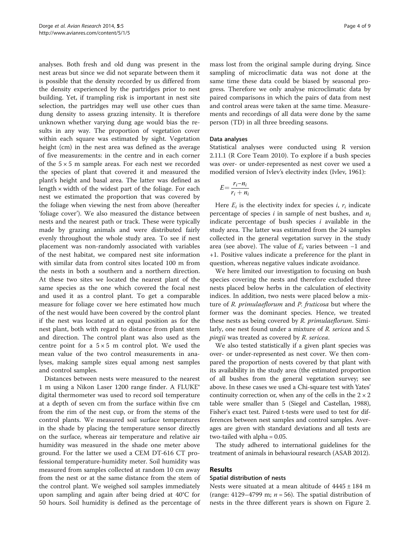analyses. Both fresh and old dung was present in the nest areas but since we did not separate between them it is possible that the density recorded by us differed from the density experienced by the partridges prior to nest building. Yet, if trampling risk is important in nest site selection, the partridges may well use other cues than dung density to assess grazing intensity. It is therefore unknown whether varying dung age would bias the results in any way. The proportion of vegetation cover within each square was estimated by sight. Vegetation height (cm) in the nest area was defined as the average of five measurements: in the centre and in each corner of the  $5 \times 5$  m sample areas. For each nest we recorded the species of plant that covered it and measured the plant's height and basal area. The latter was defined as length  $\times$  width of the widest part of the foliage. For each nest we estimated the proportion that was covered by the foliage when viewing the nest from above (hereafter 'foliage cover'). We also measured the distance between nests and the nearest path or track. These were typically made by grazing animals and were distributed fairly evenly throughout the whole study area. To see if nest placement was non-randomly associated with variables of the nest habitat, we compared nest site information with similar data from control sites located 100 m from the nests in both a southern and a northern direction. At these two sites we located the nearest plant of the same species as the one which covered the focal nest and used it as a control plant. To get a comparable measure for foliage cover we here estimated how much of the nest would have been covered by the control plant if the nest was located at an equal position as for the nest plant, both with regard to distance from plant stem and direction. The control plant was also used as the centre point for a  $5 \times 5$  m control plot. We used the mean value of the two control measurements in analyses, making sample sizes equal among nest samples and control samples.

Distances between nests were measured to the nearest 1 m using a Nikon Laser 1200 range finder. A FLUKE® digital thermometer was used to record soil temperature at a depth of seven cm from the surface within five cm from the rim of the nest cup, or from the stems of the control plants. We measured soil surface temperatures in the shade by placing the temperature sensor directly on the surface, whereas air temperature and relative air humidity was measured in the shade one meter above ground. For the latter we used a CEM DT-616 CT professional temperature-humidity meter. Soil humidity was measured from samples collected at random 10 cm away from the nest or at the same distance from the stem of the control plant. We weighed soil samples immediately upon sampling and again after being dried at 40°C for 50 hours. Soil humidity is defined as the percentage of

mass lost from the original sample during drying. Since sampling of microclimatic data was not done at the same time these data could be biased by seasonal progress. Therefore we only analyse microclimatic data by paired comparisons in which the pairs of data from nest and control areas were taken at the same time. Measurements and recordings of all data were done by the same person (TD) in all three breeding seasons.

### Data analyses

Statistical analyses were conducted using R version 2.11.1 (R Core Team [2010\)](#page-8-0). To explore if a bush species was over- or under-represented as nest cover we used a modified version of Ivlev's electivity index (Ivlev, [1961](#page-8-0)):

$$
E = \frac{r_i - n_i}{r_i + n_i}
$$

Here  $E_i$  is the electivity index for species *i*,  $r_i$  indicate percentage of species  $i$  in sample of nest bushes, and  $n_i$ indicate percentage of bush species  $i$  available in the study area. The latter was estimated from the 24 samples collected in the general vegetation survey in the study area (see above). The value of  $E_i$  varies between -1 and +1. Positive values indicate a preference for the plant in question, whereas negative values indicate avoidance.

We here limited our investigation to focusing on bush species covering the nests and therefore excluded three nests placed below herbs in the calculation of electivity indices. In addition, two nests were placed below a mixture of R. primulaeflorum and P. fruticosa but where the former was the dominant species. Hence, we treated these nests as being covered by R. primulaeflorum. Similarly, one nest found under a mixture of R. sericea and S. pingii was treated as covered by R. sericea.

We also tested statistically if a given plant species was over- or under-represented as nest cover. We then compared the proportion of nests covered by that plant with its availability in the study area (the estimated proportion of all bushes from the general vegetation survey; see above. In these cases we used a Chi-square test with Yates' continuity correction or, when any of the cells in the  $2 \times 2$ table were smaller than 5 (Siegel and Castellan, [1988](#page-8-0)), Fisher's exact test. Paired t-tests were used to test for differences between nest samples and control samples. Averages are given with standard deviations and all tests are two-tailed with alpha = 0.05.

The study adhered to international guidelines for the treatment of animals in behavioural research (ASAB 2012).

# Results

#### Spatial distribution of nests

Nests were situated at a mean altitude of  $4445 \pm 184$  m (range: 4129–4799 m;  $n = 56$ ). The spatial distribution of nests in the three different years is shown on Figure [2](#page-4-0).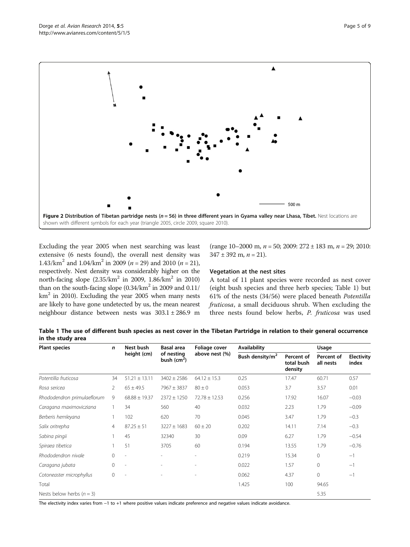<span id="page-4-0"></span>

Excluding the year 2005 when nest searching was least extensive (6 nests found), the overall nest density was 1.43/km<sup>2</sup> and 1.04/km<sup>2</sup> in 2009 ( $n = 29$ ) and 2010 ( $n = 21$ ), respectively. Nest density was considerably higher on the north-facing slope (2.35/km2 in 2009, 1.86/km2 in 2010) than on the south-facing slope  $(0.34/km^2)$  in 2009 and  $0.11/$  $km<sup>2</sup>$  in 2010). Excluding the year 2005 when many nests are likely to have gone undetected by us, the mean nearest neighbour distance between nests was 303.1 ± 286.9 m (range 10–2000 m,  $n = 50$ ; 2009: 272 ± 183 m,  $n = 29$ ; 2010:  $347 \pm 392$  m,  $n = 21$ ).

#### Vegetation at the nest sites

A total of 11 plant species were recorded as nest cover (eight bush species and three herb species; Table 1) but 61% of the nests (34/56) were placed beneath Potentilla fruticosa, a small deciduous shrub. When excluding the three nests found below herbs, P. fruticosa was used

|                   | Table 1 The use of different bush species as nest cover in the Tibetan Partridge in relation to their general occurrence |
|-------------------|--------------------------------------------------------------------------------------------------------------------------|
| in the study area |                                                                                                                          |

| <b>Plant species</b>        | n              | Nest bush<br>height (cm) | <b>Basal area</b><br>of nesting<br>bush $(cm2)$ | Foliage cover<br>above nest (%) | <b>Availability</b>         |                                     | Usage                   |                     |
|-----------------------------|----------------|--------------------------|-------------------------------------------------|---------------------------------|-----------------------------|-------------------------------------|-------------------------|---------------------|
|                             |                |                          |                                                 |                                 | Bush density/m <sup>2</sup> | Percent of<br>total bush<br>density | Percent of<br>all nests | Electivity<br>index |
| Potentilla fruticosa        | 34             | $51.21 \pm 13.11$        | $3402 \pm 2586$                                 | $64.12 \pm 15.3$                | 0.25                        | 17.47                               | 60.71                   | 0.57                |
| Rosa sericea                | 2              | $65 \pm 49.5$            | $7967 \pm 3837$                                 | $80 \pm 0$                      | 0.053                       | 3.7                                 | 3.57                    | 0.01                |
| Rhododendron primulaeflorum | 9              | $68.88 \pm 19.37$        | $2372 \pm 1250$                                 | $72.78 \pm 12.53$               | 0.256                       | 17.92                               | 16.07                   | $-0.03$             |
| Caragana maximovicziana     |                | 34                       | 560                                             | 40                              | 0.032                       | 2.23                                | 1.79                    | $-0.09$             |
| Berberis hemleyana          |                | 102                      | 620                                             | 70                              | 0.045                       | 3.47                                | 1.79                    | $-0.3$              |
| Salix oritrepha             | $\overline{4}$ | $87.25 \pm 51$           | $3227 \pm 1683$                                 | $60 \pm 20$                     | 0.202                       | 14.11                               | 7.14                    | $-0.3$              |
| Sabina pingii               |                | 45                       | 32340                                           | 30                              | 0.09                        | 6.27                                | 1.79                    | $-0.54$             |
| Spiraea tibetica            |                | 51                       | 3705                                            | 60                              | 0.194                       | 13.55                               | 1.79                    | $-0.76$             |
| Rhododendron nivale         | 0              | ٠                        |                                                 | $\overline{\phantom{a}}$        | 0.219                       | 15.34                               | $\mathbf{0}$            | $-1$                |
| Caragana jubata             | $\mathbf{0}$   | $\overline{\phantom{a}}$ |                                                 | ٠                               | 0.022                       | 1.57                                | $\mathbf{0}$            | $-1$                |
| Cotoneaster microphyllus    | $\mathbf 0$    | ٠                        |                                                 |                                 | 0.062                       | 4.37                                | $\mathbf 0$             | $-1$                |
| Total                       |                |                          |                                                 |                                 | 1.425                       | 100                                 | 94.65                   |                     |
| Nests below herbs $(n = 3)$ |                |                          |                                                 |                                 |                             |                                     | 5.35                    |                     |

The electivity index varies from −1 to +1 where positive values indicate preference and negative values indicate avoidance.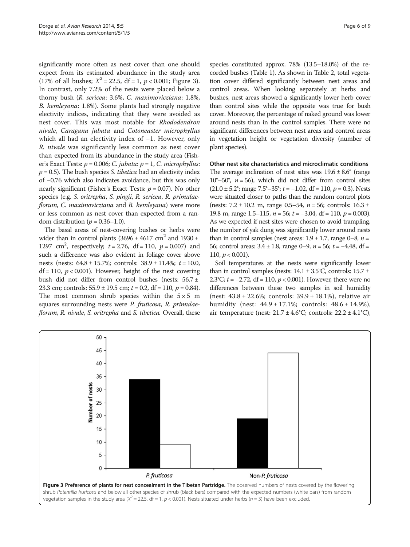significantly more often as nest cover than one should expect from its estimated abundance in the study area (17% of all bushes;  $X^2 = 22.5$ , df = 1,  $p < 0.001$ ; Figure 3). In contrast, only 7.2% of the nests were placed below a thorny bush (R. sericea: 3.6%, C. maximovicziana: 1.8%, B. hemleyana: 1.8%). Some plants had strongly negative electivity indices, indicating that they were avoided as nest cover. This was most notable for Rhododendron nivale, Caragana jubata and Cotoneaster microphyllus which all had an electivity index of −1. However, only R. nivale was significantly less common as nest cover than expected from its abundance in the study area (Fisher's Exact Tests:  $p = 0.006$ ; C. jubata:  $p = 1$ , C. microphyllus:  $p = 0.5$ ). The bush species *S. tibetica* had an electivity index of −0.76 which also indicates avoidance, but this was only nearly significant (Fisher's Exact Tests:  $p = 0.07$ ). No other species (e.g. S. oritrepha, S. pingii, R. sericea, R. primulaeflorum, C. maximovicziana and B. hemleyana) were more or less common as nest cover than expected from a random distribution ( $p = 0.36 - 1.0$ ).

The basal areas of nest-covering bushes or herbs were wider than in control plants (3696  $\pm$  4617 cm<sup>2</sup> and 1930  $\pm$ 1297 cm<sup>2</sup>, respectively;  $t = 2.76$ , df = 110,  $p = 0.007$ ) and such a difference was also evident in foliage cover above nests (nests:  $64.8 \pm 15.7\%$ ; controls:  $38.9 \pm 11.4\%$ ;  $t = 10.0$ ,  $df = 110$ ,  $p < 0.001$ ). However, height of the nest covering bush did not differ from control bushes (nests: 56.7 ± 23.3 cm; controls:  $55.9 \pm 19.5$  cm;  $t = 0.2$ , df = 110,  $p = 0.84$ ). The most common shrub species within the  $5 \times 5$  m squares surrounding nests were P. fruticosa, R. primulaeflorum, R. nivale, S. oritrepha and S. tibetica. Overall, these

species constituted approx. 78% (13.5–18.0%) of the recorded bushes (Table [1](#page-4-0)). As shown in Table [2](#page-6-0), total vegetation cover differed significantly between nest areas and control areas. When looking separately at herbs and bushes, nest areas showed a significantly lower herb cover than control sites while the opposite was true for bush cover. Moreover, the percentage of naked ground was lower around nests than in the control samples. There were no significant differences between nest areas and control areas in vegetation height or vegetation diversity (number of plant species).

#### Other nest site characteristics and microclimatic conditions

The average inclination of nest sites was  $19.6 \pm 8.6^{\circ}$  (range 10°–50°,  $n = 56$ ), which did not differ from control sites  $(21.0 \pm 5.2^{\circ})$ ; range  $7.5^{\circ} - 35^{\circ}$ ;  $t = -1.02$ , df = 110,  $p = 0.3$ ). Nests were situated closer to paths than the random control plots (nests:  $7.2 \pm 10.2$  m, range 0.5–54,  $n = 56$ ; controls:  $16.3 \pm$ 19.8 m, range 1.5–115,  $n = 56$ ;  $t = -3.04$ , df = 110,  $p = 0.003$ ). As we expected if nest sites were chosen to avoid trampling, the number of yak dung was significantly lower around nests than in control samples (nest areas:  $1.9 \pm 1.7$ , range 0–8,  $n =$ 56; control areas:  $3.4 \pm 1.8$ , range 0–9,  $n = 56$ ;  $t = -4.48$ , df = 110,  $p < 0.001$ ).

Soil temperatures at the nests were significantly lower than in control samples (nests:  $14.1 \pm 3.5^{\circ}$ C, controls:  $15.7 \pm$ 2.3°C;  $t = -2.72$ , df = 110,  $p < 0.001$ ). However, there were no differences between these two samples in soil humidity (nest: 43.8 ± 22.6%; controls: 39.9 ± 18.1%), relative air humidity (nest:  $44.9 \pm 17.1\%$ ; controls:  $48.6 \pm 14.9\%$ ), air temperature (nest:  $21.7 \pm 4.6^{\circ}$ C; controls:  $22.2 \pm 4.1^{\circ}$ C),

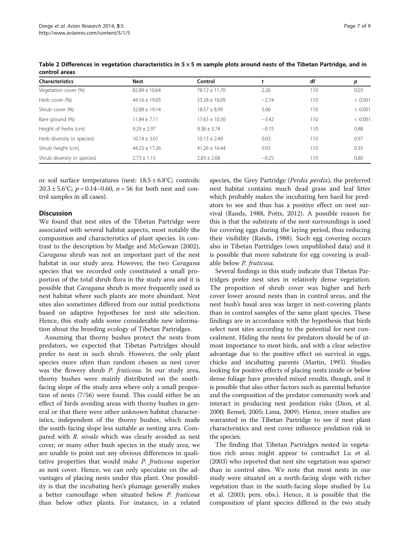| LUIILIUI GIEGS                      |                   |                   |         |     |         |  |  |  |  |  |
|-------------------------------------|-------------------|-------------------|---------|-----|---------|--|--|--|--|--|
| <b>Characteristics</b>              | Nest              | Control           |         | df  | р       |  |  |  |  |  |
| Vegetation cover (%)                | $82.89 \pm 10.64$ | $78.12 \pm 11.70$ | 2.26    | 110 | 0.03    |  |  |  |  |  |
| Herb cover (%)                      | $44.16 \pm 19.05$ | $53.28 \pm 16.09$ | $-2.74$ | 110 | < 0.001 |  |  |  |  |  |
| Shrub cover (%)                     | $32.88 \pm 19.14$ | $18.57 + 8.99$    | 5.06    | 110 | < 0.001 |  |  |  |  |  |
| Bare ground (%)                     | $11.84 \pm 7.11$  | $17.63 + 10.50$   | $-3.42$ | 110 | < 0.001 |  |  |  |  |  |
| Height of herbs (cm)                | $9.29 \pm 2.97$   | $9.38 \pm 3.74$   | $-0.15$ | 110 | 0.88    |  |  |  |  |  |
| Herb diversity (n species)          | $10.14 \pm 3.01$  | $10.13 + 2.49$    | 0.03    | 110 | 0.97    |  |  |  |  |  |
| Shrub height (cm)                   | $44.23 \pm 17.26$ | $41.26 + 16.44$   | 0.93    | 110 | 0.35    |  |  |  |  |  |
| Shrub diversity ( <i>n</i> species) | $2.73 + 1.15$     | $2.83 \pm 2.68$   | $-0.25$ | 110 | 0.80    |  |  |  |  |  |
|                                     |                   |                   |         |     |         |  |  |  |  |  |

<span id="page-6-0"></span>Table 2 Differences in vegetation characteristics in  $5 \times 5$  m sample plots around nests of the Tibetan Partridge, and in control areas

or soil surface temperatures (nest:  $18.5 \pm 6.8$ °C; controls: 20.3 ± 5.6°C;  $p = 0.14 - 0.60$ ,  $n = 56$  for both nest and control samples in all cases).

### **Discussion**

We found that nest sites of the Tibetan Partridge were associated with several habitat aspects, most notably the composition and characteristics of plant species. In contrast to the description by Madge and McGowan ([2002](#page-8-0)), Caragana shrub was not an important part of the nest habitat in our study area. However, the two Caragana species that we recorded only constituted a small proportion of the total shrub flora in the study area and it is possible that Caragana shrub is more frequently used as nest habitat where such plants are more abundant. Nest sites also sometimes differed from our initial predictions based on adaptive hypotheses for nest site selection. Hence, this study adds some considerable new information about the breeding ecology of Tibetan Partridges.

Assuming that thorny bushes protect the nests from predators, we expected that Tibetan Partridges should prefer to nest in such shrub. However, the only plant species more often than random chosen as nest cover was the flowery shrub P. fruticosa. In our study area, thorny bushes were mainly distributed on the southfacing slope of the study area where only a small proportion of nests (7/56) were found. This could either be an effect of birds avoiding areas with thorny bushes in general or that there were other unknown habitat characteristics, independent of the thorny bushes, which made the south-facing slope less suitable as nesting area. Compared with R. nivale which was clearly avoided as nest cover, or many other bush species in the study area, we are unable to point out any obvious differences in qualitative properties that would make P. fruticosa superior as nest cover. Hence, we can only speculate on the advantages of placing nests under this plant. One possibility is that the incubating hen's plumage generally makes a better camouflage when situated below P. fruticosa than below other plants. For instance, in a related species, the Grey Partridge (Perdix perdix), the preferred nest habitat contains much dead grass and leaf litter which probably makes the incubating hen hard for predators to see and thus has a positive effect on nest survival (Rands, [1988,](#page-8-0) Potts, [2012\)](#page-8-0). A possible reason for this is that the substrate of the nest surroundings is used for covering eggs during the laying period, thus reducing their visibility (Rands, [1988\)](#page-8-0). Such egg covering occurs also in Tibetan Partridges (own unpublished data) and it is possible that more substrate for egg covering is available below P. fruticosa.

Several findings in this study indicate that Tibetan Partridges prefer nest sites in relatively dense vegetation. The proportion of shrub cover was higher and herb cover lower around nests than in control areas, and the nest bush's basal area was larger in nest-covering plants than in control samples of the same plant species. These findings are in accordance with the hypothesis that birds select nest sites according to the potential for nest concealment. Hiding the nests for predators should be of utmost importance to most birds, and with a clear selective advantage due to the positive effect on survival in eggs, chicks and incubating parents (Martin, [1993\)](#page-8-0). Studies looking for positive effects of placing nests inside or below dense foliage have provided mixed results, though, and it is possible that also other factors such as parental behavior and the composition of the predator community work and interact in producing nest predation risks (Dion, et al. [2000;](#page-8-0) Remeš, [2005;](#page-8-0) Lima, [2009](#page-8-0)). Hence, more studies are warranted in the Tibetan Partridge to see if nest plant characteristics and nest cover influence predation risk in the species.

The finding that Tibetan Partridges nested in vegetation rich areas might appear to contradict Lu et al. ([2003\)](#page-8-0) who reported that nest site vegetation was sparser than in control sites. We note that most nests in our study were situated on a north-facing slope with richer vegetation than in the south-facing slope studied by Lu et al. [\(2003](#page-8-0); pers. obs.). Hence, it is possible that the composition of plant species differed in the two study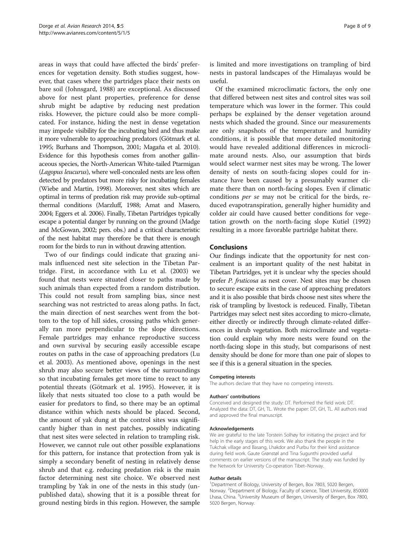areas in ways that could have affected the birds' preferences for vegetation density. Both studies suggest, however, that cases where the partridges place their nests on bare soil (Johnsgard, [1988](#page-8-0)) are exceptional. As discussed above for nest plant properties, preference for dense shrub might be adaptive by reducing nest predation risks. However, the picture could also be more complicated. For instance, hiding the nest in dense vegetation may impede visibility for the incubating bird and thus make it more vulnerable to approaching predators (Götmark et al. [1995](#page-8-0); Burhans and Thompson, [2001;](#page-8-0) Magaña et al. [2010\)](#page-8-0). Evidence for this hypothesis comes from another gallinaceous species, the North-American White-tailed Ptarmigan (Lagopus leucurus), where well-concealed nests are less often detected by predators but more risky for incubating females (Wiebe and Martin, [1998\)](#page-8-0). Moreover, nest sites which are optimal in terms of predation risk may provide sub-optimal thermal conditions (Marzluff, [1988](#page-8-0); Amat and Masero, [2004](#page-8-0); Eggers et al. [2006\)](#page-8-0). Finally, Tibetan Partridges typically escape a potential danger by running on the ground (Madge and McGowan, [2002;](#page-8-0) pers. obs.) and a critical characteristic of the nest habitat may therefore be that there is enough room for the birds to run in without drawing attention.

Two of our findings could indicate that grazing animals influenced nest site selection in the Tibetan Partridge. First, in accordance with Lu et al. ([2003](#page-8-0)) we found that nests were situated closer to paths made by such animals than expected from a random distribution. This could not result from sampling bias, since nest searching was not restricted to areas along paths. In fact, the main direction of nest searches went from the bottom to the top of hill sides, crossing paths which generally ran more perpendicular to the slope directions. Female partridges may enhance reproductive success and own survival by securing easily accessible escape routes on paths in the case of approaching predators (Lu et al. [2003](#page-8-0)). As mentioned above, openings in the nest shrub may also secure better views of the surroundings so that incubating females get more time to react to any potential threats (Götmark et al. [1995\)](#page-8-0). However, it is likely that nests situated too close to a path would be easier for predators to find, so there may be an optimal distance within which nests should be placed. Second, the amount of yak dung at the control sites was significantly higher than in nest patches, possibly indicating that nest sites were selected in relation to trampling risk. However, we cannot rule out other possible explanations for this pattern, for instance that protection from yak is simply a secondary benefit of nesting in relatively dense shrub and that e.g. reducing predation risk is the main factor determining nest site choice. We observed nest trampling by Yak in one of the nests in this study (unpublished data), showing that it is a possible threat for ground nesting birds in this region. However, the sample

is limited and more investigations on trampling of bird nests in pastoral landscapes of the Himalayas would be useful.

Of the examined microclimatic factors, the only one that differed between nest sites and control sites was soil temperature which was lower in the former. This could perhaps be explained by the denser vegetation around nests which shaded the ground. Since our measurements are only snapshots of the temperature and humidity conditions, it is possible that more detailed monitoring would have revealed additional differences in microclimate around nests. Also, our assumption that birds would select warmer nest sites may be wrong. The lower density of nests on south-facing slopes could for instance have been caused by a presumably warmer climate there than on north-facing slopes. Even if climatic conditions per se may not be critical for the birds, reduced evapotranspiration, generally higher humidity and colder air could have caused better conditions for vegetation growth on the north-facing slope Kutiel ([1992](#page-8-0)) resulting in a more favorable partridge habitat there.

#### Conclusions

Our findings indicate that the opportunity for nest concealment is an important quality of the nest habitat in Tibetan Partridges, yet it is unclear why the species should prefer P. fruticosa as nest cover. Nest sites may be chosen to secure escape exits in the case of approaching predators and it is also possible that birds choose nest sites where the risk of trampling by livestock is redeuced. Finally, Tibetan Partridges may select nest sites according to micro-climate, either directly or indirectly through climate-related differences in shrub vegetation. Both microclimate and vegetation could explain why more nests were found on the north-facing slope in this study, but comparisons of nest density should be done for more than one pair of slopes to see if this is a general situation in the species.

#### Competing interests

The authors declare that they have no competing interests.

#### Authors' contributions

Conceived and designed the study: DT. Performed the field work: DT. Analyzed the data: DT, GH, TL. Wrote the paper: DT, GH, TL. All authors read and approved the final manuscript.

#### Acknowledgements

We are grateful to the late Torstein Solhøy for initiating the project and for help in the early stages of this work. We also thank the people in the Tukchak village and Basang, Lhakdor and Purbu for their kind assistance during field work. Gaute Grønstøl and Tina Sugunthi provided useful comments on earlier versions of the manuscript. The study was funded by the Network for University Co-operation Tibet–Norway.

#### Author details

<sup>1</sup>Department of Biology, University of Bergen, Box 7803, 5020 Bergen, Norway. <sup>2</sup>Department of Biology, Faculty of science, Tibet University, 850000 Lhasa, China. <sup>3</sup>University Museum of Bergen, University of Bergen, Box 7800 5020 Bergen, Norway.